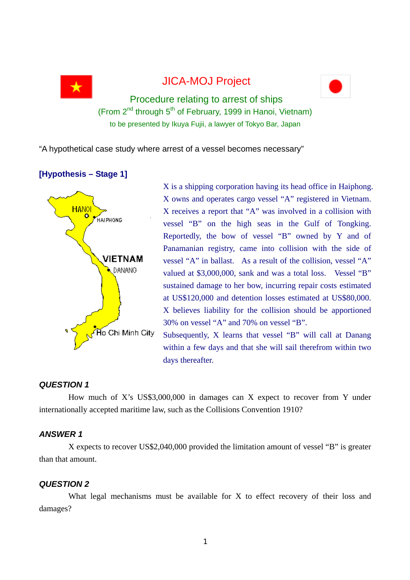

# JICA-MOJ Project



Procedure relating to arrest of ships (From  $2^{nd}$  through  $5^{th}$  of February, 1999 in Hanoi, Vietnam) to be presented by Ikuya Fujii, a lawyer of Tokyo Bar, Japan

"A hypothetical case study where arrest of a vessel becomes necessary"

# **[Hypothesis – Stage 1]**



X is a shipping corporation having its head office in Haiphong. X owns and operates cargo vessel "A" registered in Vietnam. X receives a report that "A" was involved in a collision with vessel "B" on the high seas in the Gulf of Tongking. Reportedly, the bow of vessel "B" owned by Y and of Panamanian registry, came into collision with the side of vessel "A" in ballast. As a result of the collision, vessel "A" valued at \$3,000,000, sank and was a total loss. Vessel "B" sustained damage to her bow, incurring repair costs estimated at US\$120,000 and detention losses estimated at US\$80,000. X believes liability for the collision should be apportioned 30% on vessel "A" and 70% on vessel "B".

Subsequently, X learns that vessel "B" will call at Danang within a few days and that she will sail therefrom within two days thereafter.

# *QUESTION 1*

How much of X's US\$3,000,000 in damages can X expect to recover from Y under internationally accepted maritime law, such as the Collisions Convention 1910?

# *ANSWER 1*

X expects to recover US\$2,040,000 provided the limitation amount of vessel "B" is greater than that amount.

# *QUESTION 2*

What legal mechanisms must be available for X to effect recovery of their loss and damages?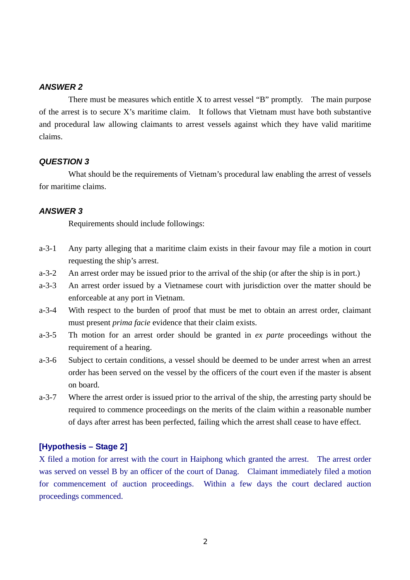#### *ANSWER 2*

There must be measures which entitle  $X$  to arrest vessel "B" promptly. The main purpose of the arrest is to secure X's maritime claim. It follows that Vietnam must have both substantive and procedural law allowing claimants to arrest vessels against which they have valid maritime claims.

#### *QUESTION 3*

What should be the requirements of Vietnam's procedural law enabling the arrest of vessels for maritime claims.

#### *ANSWER 3*

Requirements should include followings:

- a-3-1 Any party alleging that a maritime claim exists in their favour may file a motion in court requesting the ship's arrest.
- a-3-2 An arrest order may be issued prior to the arrival of the ship (or after the ship is in port.)
- a-3-3 An arrest order issued by a Vietnamese court with jurisdiction over the matter should be enforceable at any port in Vietnam.
- a-3-4 With respect to the burden of proof that must be met to obtain an arrest order, claimant must present *prima facie* evidence that their claim exists.
- a-3-5 Th motion for an arrest order should be granted in *ex parte* proceedings without the requirement of a hearing.
- a-3-6 Subject to certain conditions, a vessel should be deemed to be under arrest when an arrest order has been served on the vessel by the officers of the court even if the master is absent on board.
- a-3-7 Where the arrest order is issued prior to the arrival of the ship, the arresting party should be required to commence proceedings on the merits of the claim within a reasonable number of days after arrest has been perfected, failing which the arrest shall cease to have effect.

#### **[Hypothesis – Stage 2]**

X filed a motion for arrest with the court in Haiphong which granted the arrest. The arrest order was served on vessel B by an officer of the court of Danag. Claimant immediately filed a motion for commencement of auction proceedings. Within a few days the court declared auction proceedings commenced.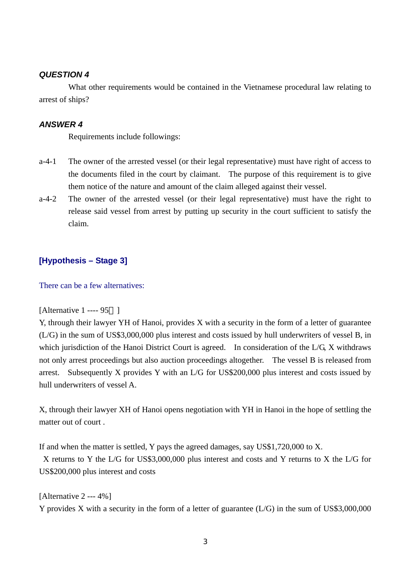#### *QUESTION 4*

What other requirements would be contained in the Vietnamese procedural law relating to arrest of ships?

### *ANSWER 4*

Requirements include followings:

- a-4-1 The owner of the arrested vessel (or their legal representative) must have right of access to the documents filed in the court by claimant. The purpose of this requirement is to give them notice of the nature and amount of the claim alleged against their vessel.
- a-4-2 The owner of the arrested vessel (or their legal representative) must have the right to release said vessel from arrest by putting up security in the court sufficient to satisfy the claim.

## **[Hypothesis – Stage 3]**

There can be a few alternatives:

```
[Alternative 1 ---- 95 ]
```
Y, through their lawyer YH of Hanoi, provides X with a security in the form of a letter of guarantee (L/G) in the sum of US\$3,000,000 plus interest and costs issued by hull underwriters of vessel B, in which jurisdiction of the Hanoi District Court is agreed. In consideration of the L/G, X withdraws not only arrest proceedings but also auction proceedings altogether. The vessel B is released from arrest. Subsequently X provides Y with an L/G for US\$200,000 plus interest and costs issued by hull underwriters of vessel A.

X, through their lawyer XH of Hanoi opens negotiation with YH in Hanoi in the hope of settling the matter out of court .

If and when the matter is settled, Y pays the agreed damages, say US\$1,720,000 to X.

X returns to Y the L/G for US\$3,000,000 plus interest and costs and Y returns to X the L/G for US\$200,000 plus interest and costs

[Alternative 2 --- 4%] Y provides X with a security in the form of a letter of guarantee (L/G) in the sum of US\$3,000,000